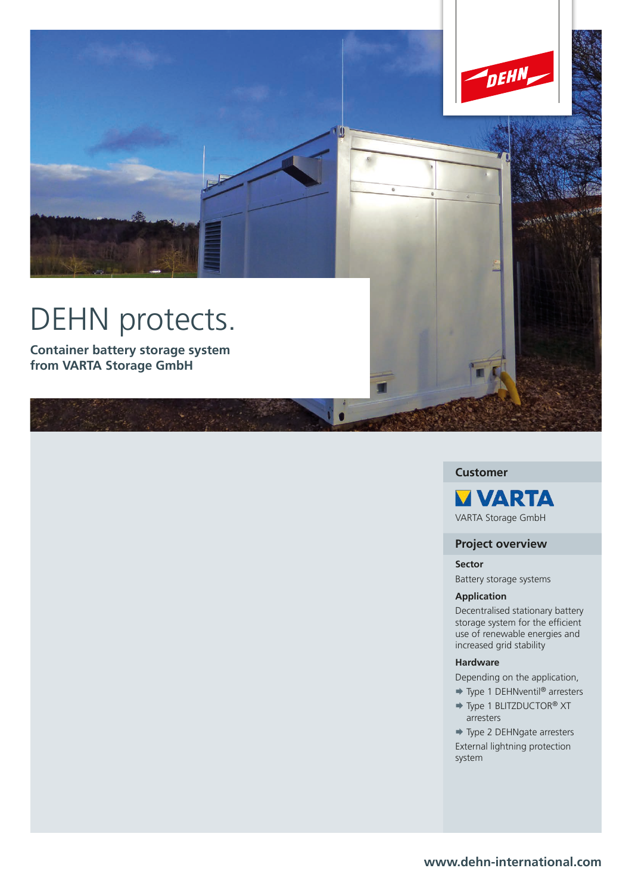

# **Customer**

**MVARTA** VARTA Storage GmbH

## **Project overview**

**Sector** Battery storage systems

### **Application**

Decentralised stationary battery storage system for the efficient use of renewable energies and increased grid stability

## **Hardware**

Depending on the application,

- → Type 1 DEHNventil<sup>®</sup> arresters
- → Type 1 BLITZDUCTOR<sup>®</sup> XT arresters

→ Type 2 DEHNgate arresters External lightning protection system